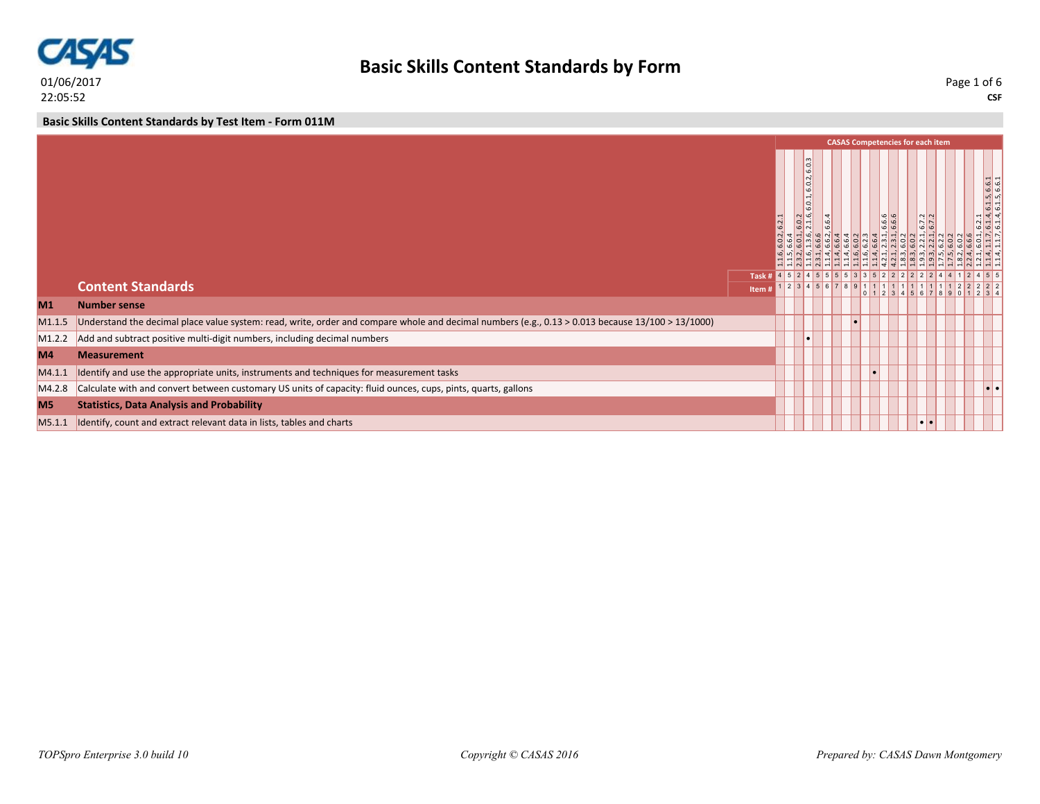

**Basic Skills Content Standards by Test Item - Form 011M**

|                    |                                                                                                                                                   |       | <b>CASAS Competencies for each item</b><br>$\sim$<br>ld<br>ئە<br>$\sim$<br>$, 6.1.5, 6.6.1$<br>$, 6.1.5, 6.6.1$<br>G.<br>$\ddot{ }$<br>6.0<br>6.6.6<br>N <sub>N</sub><br>۱có<br>  o   H<br>6.7.6<br>تما<br>ما<br>$\frac{1}{2}$<br>4 5 5 5 5<br>3 3 5 2 2 2 2<br>Task # $452$<br>$1 \ 2 \ 3 \ 4 \ 5 \ 6 \ 7 \ 8$<br>$  \bullet   \bullet  $ |  |  |  |  |                  |  |  |
|--------------------|---------------------------------------------------------------------------------------------------------------------------------------------------|-------|--------------------------------------------------------------------------------------------------------------------------------------------------------------------------------------------------------------------------------------------------------------------------------------------------------------------------------------------|--|--|--|--|------------------|--|--|
|                    |                                                                                                                                                   |       |                                                                                                                                                                                                                                                                                                                                            |  |  |  |  |                  |  |  |
|                    |                                                                                                                                                   |       |                                                                                                                                                                                                                                                                                                                                            |  |  |  |  |                  |  |  |
|                    | <b>Content Standards</b>                                                                                                                          | Item# |                                                                                                                                                                                                                                                                                                                                            |  |  |  |  |                  |  |  |
| M <sub>1</sub>     | <b>Number sense</b>                                                                                                                               |       |                                                                                                                                                                                                                                                                                                                                            |  |  |  |  |                  |  |  |
| M1.1.5             | Understand the decimal place value system: read, write, order and compare whole and decimal numbers (e.g., 0.13 > 0.013 because 13/100 > 13/1000) |       |                                                                                                                                                                                                                                                                                                                                            |  |  |  |  |                  |  |  |
| M <sub>1.2.2</sub> | Add and subtract positive multi-digit numbers, including decimal numbers                                                                          |       |                                                                                                                                                                                                                                                                                                                                            |  |  |  |  |                  |  |  |
| M <sub>4</sub>     | <b>Measurement</b>                                                                                                                                |       |                                                                                                                                                                                                                                                                                                                                            |  |  |  |  |                  |  |  |
| MA.1.1             | Identify and use the appropriate units, instruments and techniques for measurement tasks                                                          |       |                                                                                                                                                                                                                                                                                                                                            |  |  |  |  |                  |  |  |
| M4.2.8             | Calculate with and convert between customary US units of capacity: fluid ounces, cups, pints, quarts, gallons                                     |       |                                                                                                                                                                                                                                                                                                                                            |  |  |  |  |                  |  |  |
| M <sub>5</sub>     | <b>Statistics, Data Analysis and Probability</b>                                                                                                  |       |                                                                                                                                                                                                                                                                                                                                            |  |  |  |  |                  |  |  |
| M5.1.1             | Identify, count and extract relevant data in lists, tables and charts                                                                             |       |                                                                                                                                                                                                                                                                                                                                            |  |  |  |  | $\bullet\bullet$ |  |  |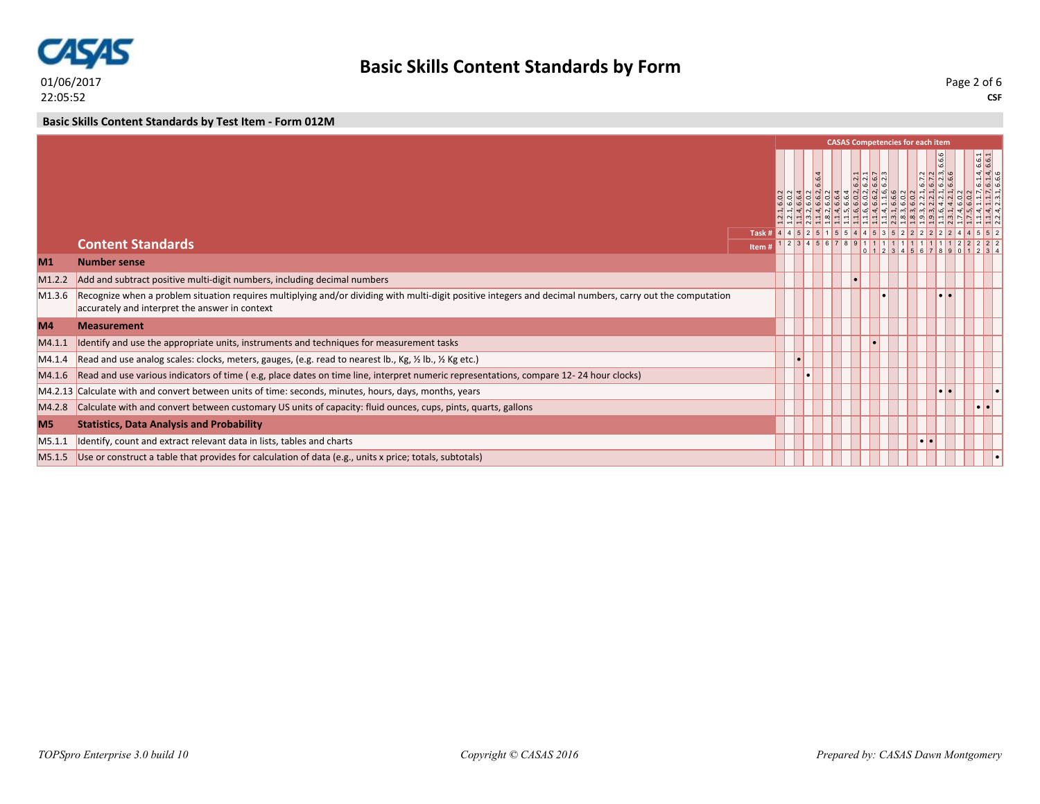

**Basic Skills Content Standards by Test Item - Form 012M**

|                    |                                                                                                                                                                                                             |       |  |           |  | <b>CASAS Competencies for each item</b> |  |                          |                                                                                    |
|--------------------|-------------------------------------------------------------------------------------------------------------------------------------------------------------------------------------------------------------|-------|--|-----------|--|-----------------------------------------|--|--------------------------|------------------------------------------------------------------------------------|
|                    |                                                                                                                                                                                                             |       |  | <b>LO</b> |  | انہ  ہ  م<br>$ a a a $ ဖါဖ              |  | $N$ $N$ $m$ $Q$<br>N N Q | $\begin{array}{r}\n 1.4, 6.6.1 \\ 1.4, 6.6.1 \\ \hline\n 1.4, 6.6.1\n \end{array}$ |
|                    | <b>Content Standards</b>                                                                                                                                                                                    |       |  |           |  | 1 2 3 4 5 6 7 8 9 1 1 1 1 1 1 1 1 1 1   |  |                          |                                                                                    |
|                    |                                                                                                                                                                                                             | Item# |  |           |  |                                         |  |                          |                                                                                    |
| M1                 | <b>Number sense</b>                                                                                                                                                                                         |       |  |           |  |                                         |  |                          |                                                                                    |
| M <sub>1.2.2</sub> | Add and subtract positive multi-digit numbers, including decimal numbers                                                                                                                                    |       |  |           |  |                                         |  |                          |                                                                                    |
| M <sub>1.3.6</sub> | Recognize when a problem situation requires multiplying and/or dividing with multi-digit positive integers and decimal numbers, carry out the computation<br>accurately and interpret the answer in context |       |  |           |  |                                         |  |                          |                                                                                    |
| M4                 | <b>Measurement</b>                                                                                                                                                                                          |       |  |           |  |                                         |  |                          |                                                                                    |
| M4.1.1             | Identify and use the appropriate units, instruments and techniques for measurement tasks                                                                                                                    |       |  |           |  |                                         |  |                          |                                                                                    |
| M4.1.4             | Read and use analog scales: clocks, meters, gauges, (e.g. read to nearest lb., Kg, 1/2 lb., 1/2 Kg etc.)                                                                                                    |       |  |           |  |                                         |  |                          |                                                                                    |
| M4.1.6             | Read and use various indicators of time (e.g, place dates on time line, interpret numeric representations, compare 12-24 hour clocks)                                                                       |       |  |           |  |                                         |  |                          |                                                                                    |
|                    | M4.2.13 Calculate with and convert between units of time: seconds, minutes, hours, days, months, years                                                                                                      |       |  |           |  |                                         |  |                          |                                                                                    |
| M4.2.8             | Calculate with and convert between customary US units of capacity: fluid ounces, cups, pints, quarts, gallons                                                                                               |       |  |           |  |                                         |  |                          | $\bullet\bullet$                                                                   |
| <b>M5</b>          | <b>Statistics, Data Analysis and Probability</b>                                                                                                                                                            |       |  |           |  |                                         |  |                          |                                                                                    |
| M5.1.1             | Identify, count and extract relevant data in lists, tables and charts                                                                                                                                       |       |  |           |  |                                         |  |                          |                                                                                    |
|                    | $MS.1.5$ Use or construct a table that provides for calculation of data (e.g., units x price; totals, subtotals)                                                                                            |       |  |           |  |                                         |  |                          |                                                                                    |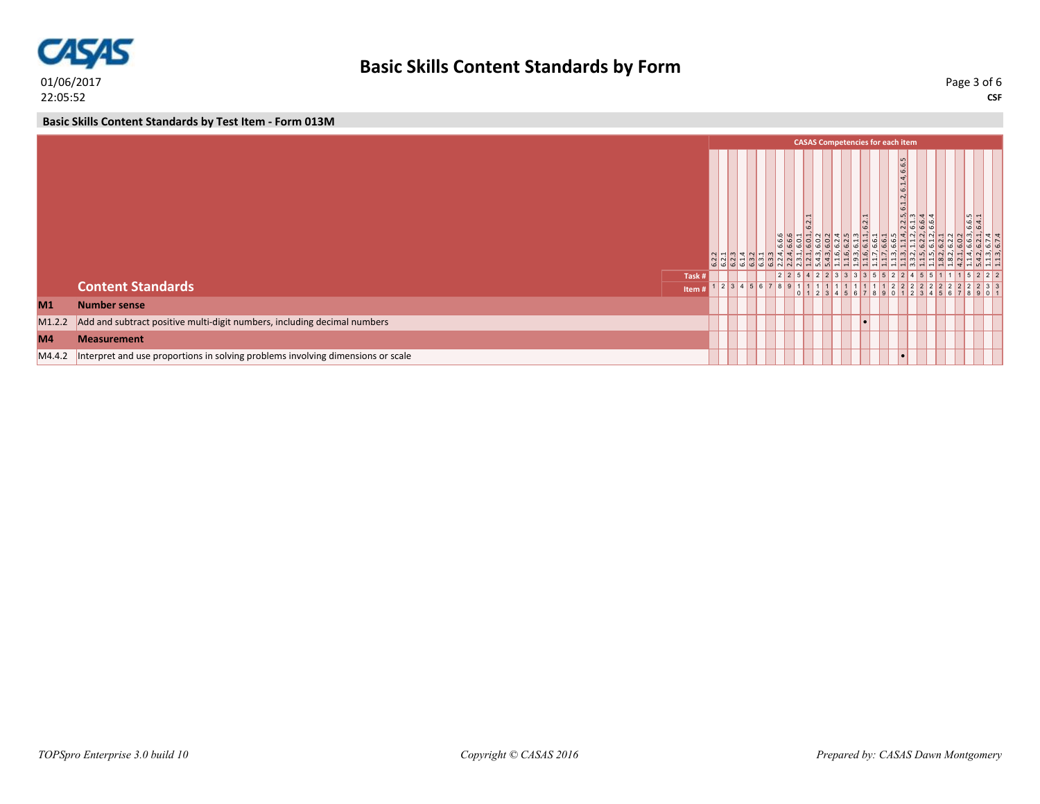

**Basic Skills Content Standards by Test Item - Form 013M**

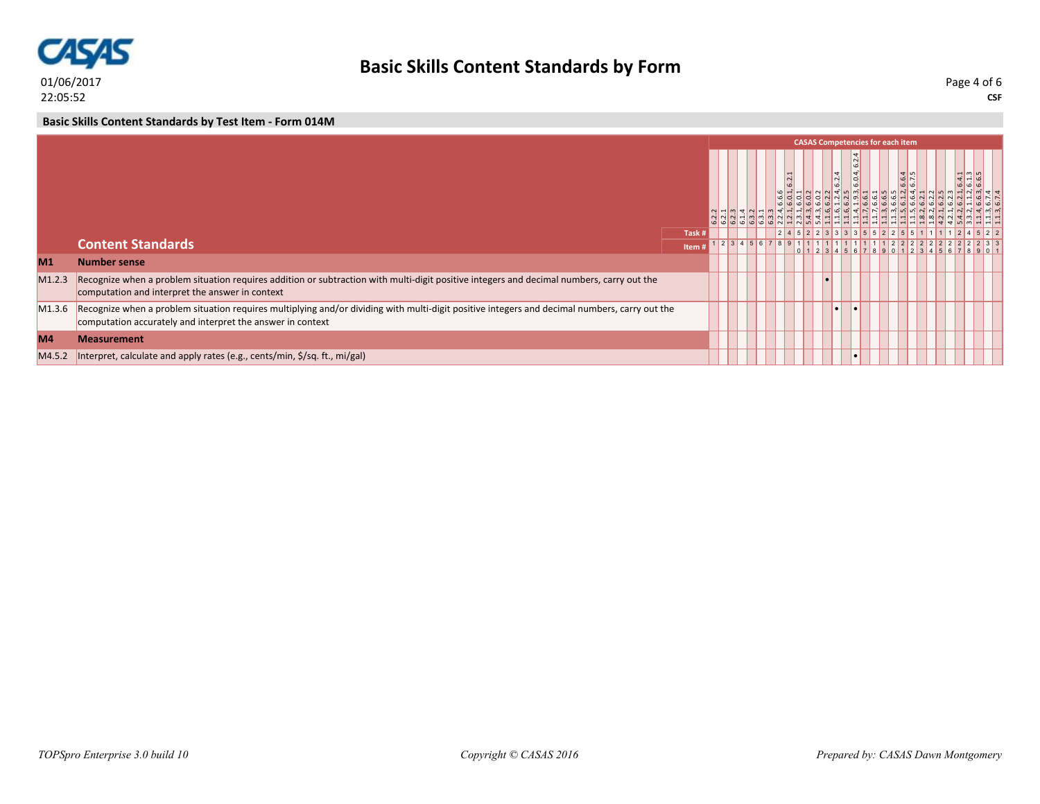

## **Basic Skills Content Standards by Form**

**CSF** Page 4 of 6

## **Basic Skills Content Standards by Test Item - Form 014M**

|                |                                                                                                                                                                                                             |        |  |  | <b>CASAS Competencies for each item</b><br>ωó<br>$\overline{4}$<br>$6.4.3$<br>$6.6.5$<br>$\frac{6}{7}$ , 5<br>$\vert \sim \vert$<br>o'<br>$\overline{\phantom{0}}$<br>1 2 3 4 5 6 7 8 9 1 |  |  |  |  |  |  |  |  |  |  |
|----------------|-------------------------------------------------------------------------------------------------------------------------------------------------------------------------------------------------------------|--------|--|--|-------------------------------------------------------------------------------------------------------------------------------------------------------------------------------------------|--|--|--|--|--|--|--|--|--|--|
|                |                                                                                                                                                                                                             |        |  |  |                                                                                                                                                                                           |  |  |  |  |  |  |  |  |  |  |
|                |                                                                                                                                                                                                             | Task # |  |  |                                                                                                                                                                                           |  |  |  |  |  |  |  |  |  |  |
|                | <b>Content Standards</b>                                                                                                                                                                                    | Item # |  |  |                                                                                                                                                                                           |  |  |  |  |  |  |  |  |  |  |
| M <sub>1</sub> | <b>Number sense</b>                                                                                                                                                                                         |        |  |  |                                                                                                                                                                                           |  |  |  |  |  |  |  |  |  |  |
| M1.2.3         | Recognize when a problem situation requires addition or subtraction with multi-digit positive integers and decimal numbers, carry out the<br>computation and interpret the answer in context                |        |  |  |                                                                                                                                                                                           |  |  |  |  |  |  |  |  |  |  |
| M1.3.6         | Recognize when a problem situation requires multiplying and/or dividing with multi-digit positive integers and decimal numbers, carry out the<br>computation accurately and interpret the answer in context |        |  |  |                                                                                                                                                                                           |  |  |  |  |  |  |  |  |  |  |
| M <sub>4</sub> | <b>Measurement</b>                                                                                                                                                                                          |        |  |  |                                                                                                                                                                                           |  |  |  |  |  |  |  |  |  |  |
| M4.5.2         | Interpret, calculate and apply rates (e.g., cents/min, \$/sq. ft., mi/gal)                                                                                                                                  |        |  |  |                                                                                                                                                                                           |  |  |  |  |  |  |  |  |  |  |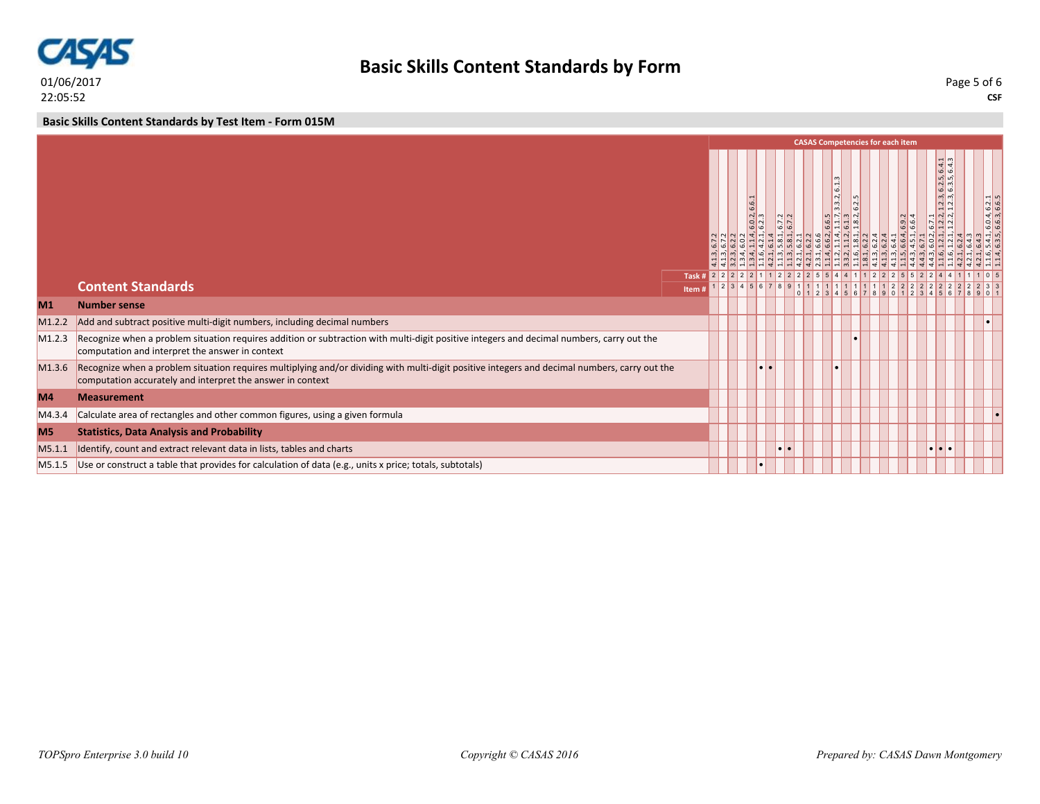

**Basic Skills Content Standards by Test Item - Form 015M**

|                |                                                                                                                                                                                                             |        |  | <b>CASAS Competencies for each item</b><br>$\frac{d}{d}$ 4<br>$n2$ ທີ<br>$\frac{1}{2}$<br>$\overline{ }$<br>$\omega$ $\omega$<br>أمه ا<br>$\frac{2.3}{2.3}$<br>$ \nabla$<br>6.0.4, 6.2.1<br><u>ဖြ</u><br>$ \vec{m} $<br><b>G</b><br>l mi<br>۱có<br>$\sqrt{a}$ m<br>$\begin{array}{ c c c c }\hline 6.6.5 & & & \\ \hline 1.1.7 & & & \\ \hline 6.1.3 & & & \\ \hline \end{array}$<br>$\frac{1}{2}$ $\frac{1}{2}$ $\frac{1}{2}$<br>$ 7 $ $\frac{2}{7}$<br>6.9.2<br> 0 <br>$ N \sim  \sim$<br>$\overline{\omega}$ $\overline{\omega}$<br>ه اها<br>$  \phi  $ al a<br>$\frac{1}{2} \left  \frac{1}{2} \right  \left  \frac{1}{2} \right  \left  \frac{1}{2} \right  \left  \frac{1}{2} \right  \left  \frac{1}{2} \right  \left  \frac{1}{2} \right  \left  \frac{1}{2} \right  \left  \frac{1}{2} \right  \left  \frac{1}{2} \right  \left  \frac{1}{2} \right  \left  \frac{1}{2} \right  \left  \frac{1}{2} \right  \left  \frac{1}{2} \right  \left  \frac{1}{2} \right  \left  \frac{1}{2} \right  \left  \frac{1}{2} \right  \left  \frac$<br>$\frac{1}{2}$ $\frac{1}{2}$ $\frac{1}{2}$ $\frac{1}{2}$ $\frac{1}{2}$ $\frac{1}{2}$ $\frac{1}{2}$ $\frac{1}{2}$<br>نِ اللَّهِ إِنَّ اللَّهِ إِنَّ اللَّهِ إِنَّ اللَّهِ إِنَّ اللَّهِ إِنَّ اللَّهِ إِنَّ اللَّهِ إِنَّ<br>Task # 2 2 2 2 2 1 1 2 2 2 2 5 5 4 4 1 1 2 2 2 5 5<br>234567891<br>1 1 1 1 1 1 1 1 1 1 2 2 |           |  |  |  |  |  |  |  |                         |  |  |
|----------------|-------------------------------------------------------------------------------------------------------------------------------------------------------------------------------------------------------------|--------|--|------------------------------------------------------------------------------------------------------------------------------------------------------------------------------------------------------------------------------------------------------------------------------------------------------------------------------------------------------------------------------------------------------------------------------------------------------------------------------------------------------------------------------------------------------------------------------------------------------------------------------------------------------------------------------------------------------------------------------------------------------------------------------------------------------------------------------------------------------------------------------------------------------------------------------------------------------------------------------------------------------------------------------------------------------------------------------------------------------------------------------------------------------------------------------------------------------------------------------------------------------------------------------------------------------------------------------------------------------------------------|-----------|--|--|--|--|--|--|--|-------------------------|--|--|
|                |                                                                                                                                                                                                             |        |  |                                                                                                                                                                                                                                                                                                                                                                                                                                                                                                                                                                                                                                                                                                                                                                                                                                                                                                                                                                                                                                                                                                                                                                                                                                                                                                                                                                        |           |  |  |  |  |  |  |  |                         |  |  |
|                | <b>Content Standards</b>                                                                                                                                                                                    | Item # |  |                                                                                                                                                                                                                                                                                                                                                                                                                                                                                                                                                                                                                                                                                                                                                                                                                                                                                                                                                                                                                                                                                                                                                                                                                                                                                                                                                                        |           |  |  |  |  |  |  |  |                         |  |  |
| M <sub>1</sub> | <b>Number sense</b>                                                                                                                                                                                         |        |  |                                                                                                                                                                                                                                                                                                                                                                                                                                                                                                                                                                                                                                                                                                                                                                                                                                                                                                                                                                                                                                                                                                                                                                                                                                                                                                                                                                        |           |  |  |  |  |  |  |  |                         |  |  |
| M1.2.2         | Add and subtract positive multi-digit numbers, including decimal numbers                                                                                                                                    |        |  |                                                                                                                                                                                                                                                                                                                                                                                                                                                                                                                                                                                                                                                                                                                                                                                                                                                                                                                                                                                                                                                                                                                                                                                                                                                                                                                                                                        |           |  |  |  |  |  |  |  |                         |  |  |
| M1.2.3         | Recognize when a problem situation requires addition or subtraction with multi-digit positive integers and decimal numbers, carry out the<br>computation and interpret the answer in context                |        |  |                                                                                                                                                                                                                                                                                                                                                                                                                                                                                                                                                                                                                                                                                                                                                                                                                                                                                                                                                                                                                                                                                                                                                                                                                                                                                                                                                                        |           |  |  |  |  |  |  |  |                         |  |  |
| M1.3.6         | Recognize when a problem situation requires multiplying and/or dividing with multi-digit positive integers and decimal numbers, carry out the<br>computation accurately and interpret the answer in context |        |  |                                                                                                                                                                                                                                                                                                                                                                                                                                                                                                                                                                                                                                                                                                                                                                                                                                                                                                                                                                                                                                                                                                                                                                                                                                                                                                                                                                        |           |  |  |  |  |  |  |  |                         |  |  |
| M <sub>4</sub> | <b>Measurement</b>                                                                                                                                                                                          |        |  |                                                                                                                                                                                                                                                                                                                                                                                                                                                                                                                                                                                                                                                                                                                                                                                                                                                                                                                                                                                                                                                                                                                                                                                                                                                                                                                                                                        |           |  |  |  |  |  |  |  |                         |  |  |
| M4.3.4         | Calculate area of rectangles and other common figures, using a given formula                                                                                                                                |        |  |                                                                                                                                                                                                                                                                                                                                                                                                                                                                                                                                                                                                                                                                                                                                                                                                                                                                                                                                                                                                                                                                                                                                                                                                                                                                                                                                                                        |           |  |  |  |  |  |  |  |                         |  |  |
| M <sub>5</sub> | <b>Statistics, Data Analysis and Probability</b>                                                                                                                                                            |        |  |                                                                                                                                                                                                                                                                                                                                                                                                                                                                                                                                                                                                                                                                                                                                                                                                                                                                                                                                                                                                                                                                                                                                                                                                                                                                                                                                                                        |           |  |  |  |  |  |  |  |                         |  |  |
| M5.1.1         | Identify, count and extract relevant data in lists, tables and charts                                                                                                                                       |        |  |                                                                                                                                                                                                                                                                                                                                                                                                                                                                                                                                                                                                                                                                                                                                                                                                                                                                                                                                                                                                                                                                                                                                                                                                                                                                                                                                                                        | $\bullet$ |  |  |  |  |  |  |  | $  \bullet   \bullet  $ |  |  |
| M5.1.5         | Use or construct a table that provides for calculation of data (e.g., units x price; totals, subtotals)                                                                                                     |        |  |                                                                                                                                                                                                                                                                                                                                                                                                                                                                                                                                                                                                                                                                                                                                                                                                                                                                                                                                                                                                                                                                                                                                                                                                                                                                                                                                                                        |           |  |  |  |  |  |  |  |                         |  |  |